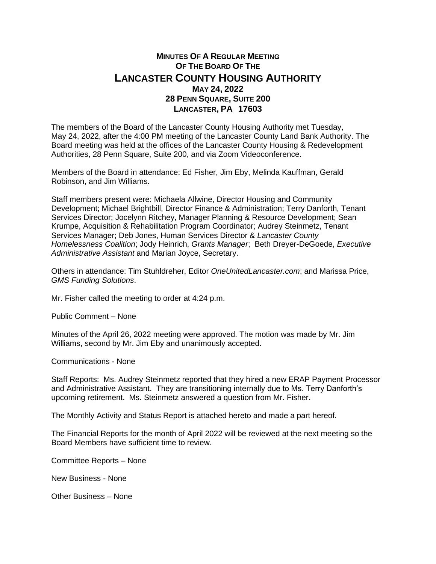## **MINUTES OF A REGULAR MEETING OF THE BOARD OF THE LANCASTER COUNTY HOUSING AUTHORITY MAY 24, 2022 28 PENN SQUARE, SUITE 200 LANCASTER, PA 17603**

The members of the Board of the Lancaster County Housing Authority met Tuesday, May 24, 2022, after the 4:00 PM meeting of the Lancaster County Land Bank Authority. The Board meeting was held at the offices of the Lancaster County Housing & Redevelopment Authorities, 28 Penn Square, Suite 200, and via Zoom Videoconference.

Members of the Board in attendance: Ed Fisher, Jim Eby, Melinda Kauffman, Gerald Robinson, and Jim Williams.

Staff members present were: Michaela Allwine, Director Housing and Community Development; Michael Brightbill, Director Finance & Administration; Terry Danforth, Tenant Services Director; Jocelynn Ritchey, Manager Planning & Resource Development; Sean Krumpe, Acquisition & Rehabilitation Program Coordinator; Audrey Steinmetz, Tenant Services Manager; Deb Jones, Human Services Director & *Lancaster County Homelessness Coalition*; Jody Heinrich, *Grants Manager*; Beth Dreyer-DeGoede, *Executive Administrative Assistant* and Marian Joyce, Secretary.

Others in attendance: Tim Stuhldreher, Editor *OneUnitedLancaster.com*; and Marissa Price, *GMS Funding Solutions*.

Mr. Fisher called the meeting to order at 4:24 p.m.

Public Comment – None

Minutes of the April 26, 2022 meeting were approved. The motion was made by Mr. Jim Williams, second by Mr. Jim Eby and unanimously accepted.

Communications - None

Staff Reports: Ms. Audrey Steinmetz reported that they hired a new ERAP Payment Processor and Administrative Assistant. They are transitioning internally due to Ms. Terry Danforth's upcoming retirement. Ms. Steinmetz answered a question from Mr. Fisher.

The Monthly Activity and Status Report is attached hereto and made a part hereof.

The Financial Reports for the month of April 2022 will be reviewed at the next meeting so the Board Members have sufficient time to review.

Committee Reports – None

New Business - None

Other Business – None